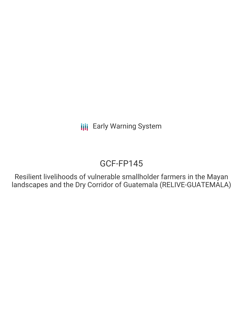# GCF-FP145

Resilient livelihoods of vulnerable smallholder farmers in the Mayan landscapes and the Dry Corridor of Guatemala (RELIVE-GUATEMALA)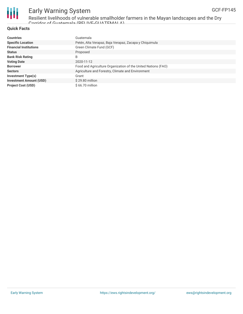

Resilient livelihoods of vulnerable smallholder farmers in the Mayan landscapes and the Dry Corridor of Guatemala (RELIVE-GUATEMALA)

### **Quick Facts**

| <b>Countries</b>               | Guatemala                                                     |
|--------------------------------|---------------------------------------------------------------|
| <b>Specific Location</b>       | Petén, Alta Verapaz, Baja Verapaz, Zacapa y Chiquimula        |
| <b>Financial Institutions</b>  | Green Climate Fund (GCF)                                      |
| <b>Status</b>                  | Proposed                                                      |
| <b>Bank Risk Rating</b>        | B                                                             |
| <b>Voting Date</b>             | 2020-11-12                                                    |
| <b>Borrower</b>                | Food and Agriculture Organization of the United Nations (FAO) |
| <b>Sectors</b>                 | Agriculture and Forestry, Climate and Environment             |
| <b>Investment Type(s)</b>      | Grant                                                         |
| <b>Investment Amount (USD)</b> | $$29.80$ million                                              |
| <b>Project Cost (USD)</b>      | $$66.70$ million                                              |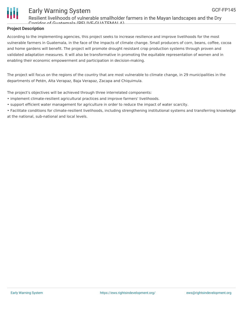

Resilient livelihoods of vulnerable smallholder farmers in the Mayan landscapes and the Dry Corridor of Guatemala (DELIVE-GUATEMALA)

### **Project Description**

According to the implementing agencies, this project seeks to increase resilience and improve livelihoods for the most vulnerable farmers in Guatemala, in the face of the impacts of climate change. Small producers of corn, beans, coffee, cocoa and home gardens will benefit. The project will promote drought resistant crop production systems through proven and validated adaptation measures. It will also be transformative in promoting the equitable representation of women and in enabling their economic empowerment and participation in decision-making.

The project will focus on the regions of the country that are most vulnerable to climate change, in 29 municipalities in the departments of Petén, Alta Verapaz, Baja Verapaz, Zacapa and Chiquimula.

The project's objectives will be achieved through three interrelated components:

- implement climate-resilient agricultural practices and improve farmers' livelihoods.
- support efficient water management for agriculture in order to reduce the impact of water scarcity.
- Facilitate conditions for climate-resilient livelihoods, including strengthening institutional systems and transferring knowledge at the national, sub-national and local levels.

GCF-FP145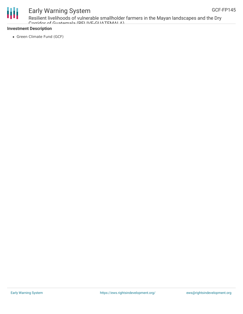

Resilient livelihoods of vulnerable smallholder farmers in the Mayan landscapes and the Dry Corridor of Guatemala (RELIVE-GUATEMALA)

### **Investment Description**

• Green Climate Fund (GCF)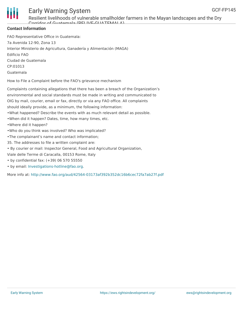

Resilient livelihoods of vulnerable smallholder farmers in the Mayan landscapes and the Dry Corridor of Guatemala (RELIVE-GUATEMALA)

### **Contact Information**

FAO Representative Office in Guatemala: 7a Avenida 12-90, Zona 13 Interior Ministerio de Agricultura, Ganadería y Alimentación (MAGA) Edificio FAO Ciudad de Guatemala CP:01013 Guatemala

How to File a Complaint before the FAO's grievance mechanism

Complaints containing allegations that there has been a breach of the Organization's environmental and social standards must be made in writing and communicated to OIG by mail, courier, email or fax, directly or via any FAO office. All complaints should ideally provide, as a minimum, the following information: •What happened? Describe the events with as much relevant detail as possible. •When did it happen? Dates, time, how many times, etc.

- •Where did it happen?
- •Who do you think was involved? Who was implicated?
- •The complainant's name and contact information;
- 35. The addresses to file a written complaint are:
- By courier or mail: Inspector General, Food and Agricultural Organization,
- Viale delle Terme di Caracalla, 00153 Rome, Italy
- by confidential fax: (+39) 06 570 55550
- by email: [Investigations-hotline@fao.org](mailto:Investigations-hotline@fao.org).

More info at: <http://www.fao.org/aud/42564-03173af392b352dc16b6cec72fa7ab27f.pdf>